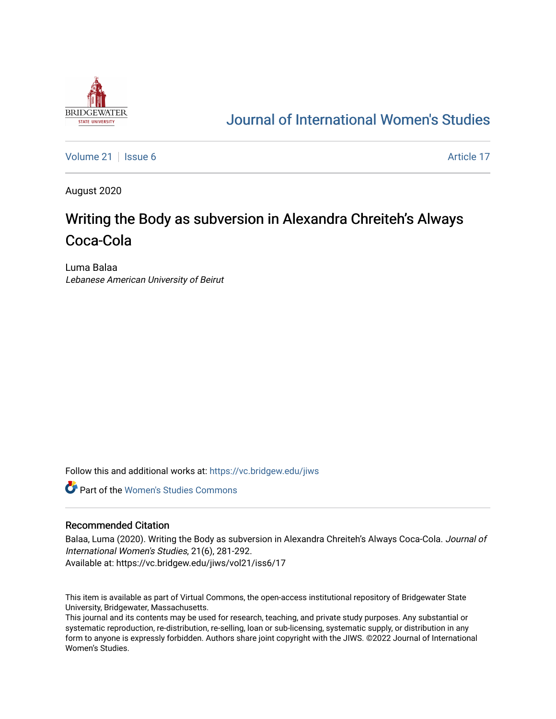

## [Journal of International Women's Studies](https://vc.bridgew.edu/jiws)

[Volume 21](https://vc.bridgew.edu/jiws/vol21) | [Issue 6](https://vc.bridgew.edu/jiws/vol21/iss6) Article 17

August 2020

# Writing the Body as subversion in Alexandra Chreiteh's Always Coca-Cola

Luma Balaa Lebanese American University of Beirut

Follow this and additional works at: [https://vc.bridgew.edu/jiws](https://vc.bridgew.edu/jiws?utm_source=vc.bridgew.edu%2Fjiws%2Fvol21%2Fiss6%2F17&utm_medium=PDF&utm_campaign=PDFCoverPages)

**C** Part of the Women's Studies Commons

#### Recommended Citation

Balaa, Luma (2020). Writing the Body as subversion in Alexandra Chreiteh's Always Coca-Cola. Journal of International Women's Studies, 21(6), 281-292. Available at: https://vc.bridgew.edu/jiws/vol21/iss6/17

This item is available as part of Virtual Commons, the open-access institutional repository of Bridgewater State University, Bridgewater, Massachusetts.

This journal and its contents may be used for research, teaching, and private study purposes. Any substantial or systematic reproduction, re-distribution, re-selling, loan or sub-licensing, systematic supply, or distribution in any form to anyone is expressly forbidden. Authors share joint copyright with the JIWS. ©2022 Journal of International Women's Studies.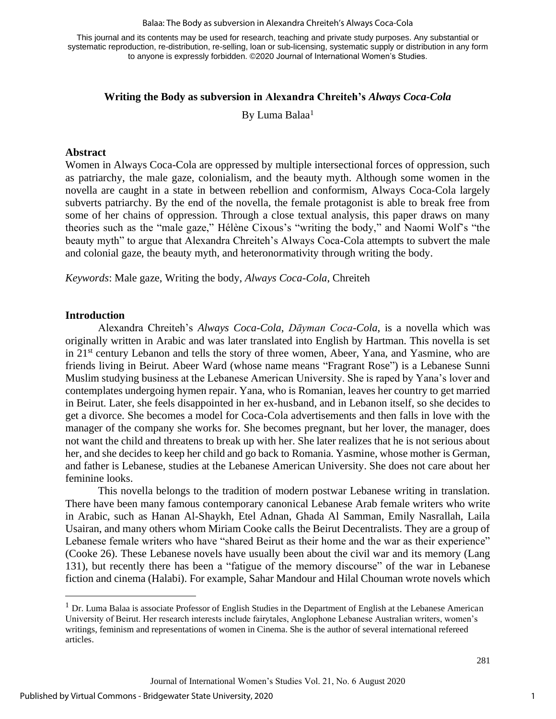This journal and its contents may be used for research, teaching and private study purposes. Any substantial or systematic reproduction, re-distribution, re-selling, loan or sub-licensing, systematic supply or distribution in any form to anyone is expressly forbidden. ©2020 Journal of International Women's Studies.

## **Writing the Body as subversion in Alexandra Chreiteh's** *Always Coca-Cola*

By Luma Balaa<sup>1</sup>

#### **Abstract**

Women in Always Coca-Cola are oppressed by multiple intersectional forces of oppression, such as patriarchy, the male gaze, colonialism, and the beauty myth. Although some women in the novella are caught in a state in between rebellion and conformism, Always Coca-Cola largely subverts patriarchy. By the end of the novella, the female protagonist is able to break free from some of her chains of oppression. Through a close textual analysis, this paper draws on many theories such as the "male gaze," Hélène Cixous's "writing the body," and Naomi Wolf's "the beauty myth" to argue that Alexandra Chreiteh's Always Coca-Cola attempts to subvert the male and colonial gaze, the beauty myth, and heteronormativity through writing the body.

*Keywords*: Male gaze, Writing the body, *Always Coca-Cola*, Chreiteh

#### **Introduction**

Alexandra Chreiteh's *Always Coca-Cola*, *Dāyman Coca-Cola*, is a novella which was originally written in Arabic and was later translated into English by Hartman. This novella is set in 21<sup>st</sup> century Lebanon and tells the story of three women, Abeer, Yana, and Yasmine, who are friends living in Beirut. Abeer Ward (whose name means "Fragrant Rose") is a Lebanese Sunni Muslim studying business at the Lebanese American University. She is raped by Yana's lover and contemplates undergoing hymen repair. Yana, who is Romanian, leaves her country to get married in Beirut. Later, she feels disappointed in her ex-husband, and in Lebanon itself, so she decides to get a divorce. She becomes a model for Coca-Cola advertisements and then falls in love with the manager of the company she works for. She becomes pregnant, but her lover, the manager, does not want the child and threatens to break up with her. She later realizes that he is not serious about her, and she decides to keep her child and go back to Romania. Yasmine, whose mother is German, and father is Lebanese, studies at the Lebanese American University. She does not care about her feminine looks.

This novella belongs to the tradition of modern postwar Lebanese writing in translation. There have been many famous contemporary canonical Lebanese Arab female writers who write in Arabic, such as Hanan Al-Shaykh, Etel Adnan, Ghada Al Samman, Emily Nasrallah, Laila Usairan, and many others whom Miriam Cooke calls the Beirut Decentralists. They are a group of Lebanese female writers who have "shared Beirut as their home and the war as their experience" (Cooke 26). These Lebanese novels have usually been about the civil war and its memory (Lang 131), but recently there has been a "fatigue of the memory discourse" of the war in Lebanese fiction and cinema (Halabi). For example, Sahar Mandour and Hilal Chouman wrote novels which

 $<sup>1</sup>$  Dr. Luma Balaa is associate Professor of English Studies in the Department of English at the Lebanese American</sup> University of Beirut. Her research interests include fairytales, Anglophone Lebanese Australian writers, women's writings, feminism and representations of women in Cinema. She is the author of several international refereed articles.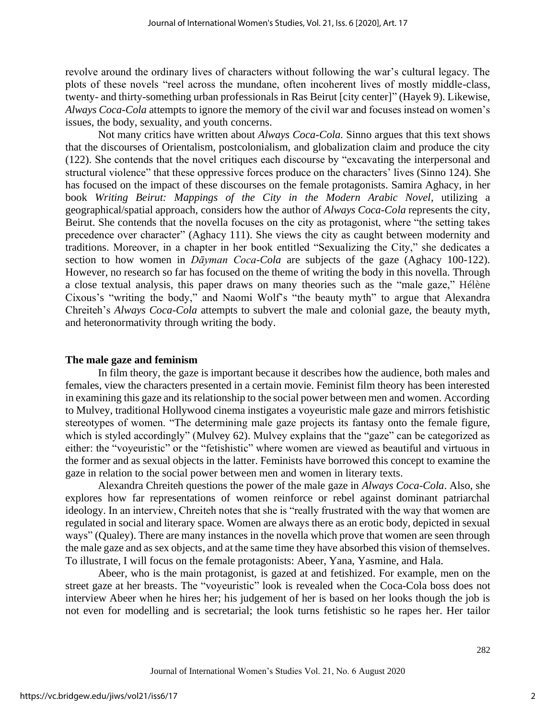revolve around the ordinary lives of characters without following the war's cultural legacy. The plots of these novels "reel across the mundane, often incoherent lives of mostly middle-class, twenty- and thirty-something urban professionals in Ras Beirut [city center]" (Hayek 9). Likewise, *Always Coca-Cola* attempts to ignore the memory of the civil war and focuses instead on women's issues, the body, sexuality, and youth concerns.

Not many critics have written about *Always Coca-Cola.* Sinno argues that this text shows that the discourses of Orientalism, postcolonialism, and globalization claim and produce the city (122). She contends that the novel critiques each discourse by "excavating the interpersonal and structural violence" that these oppressive forces produce on the characters' lives (Sinno 124). She has focused on the impact of these discourses on the female protagonists. Samira Aghacy, in her book *Writing Beirut: Mappings of the City in the Modern Arabic Novel*, utilizing a geographical/spatial approach, considers how the author of *Always Coca-Cola* represents the city, Beirut. She contends that the novella focuses on the city as protagonist, where "the setting takes precedence over character" (Aghacy 111). She views the city as caught between modernity and traditions. Moreover, in a chapter in her book entitled "Sexualizing the City," she dedicates a section to how women in *Dāyman Coca-Cola* are subjects of the gaze (Aghacy 100-122). However, no research so far has focused on the theme of writing the body in this novella. Through a close textual analysis, this paper draws on many theories such as the "male gaze," Hélène Cixous's "writing the body," and Naomi Wolf's "the beauty myth" to argue that Alexandra Chreiteh's *Always Coca-Cola* attempts to subvert the male and colonial gaze, the beauty myth, and heteronormativity through writing the body.

## **The male gaze and feminism**

In film theory, the gaze is important because it describes how the audience, both males and females, view the characters presented in a certain movie. Feminist film theory has been interested in examining this gaze and its relationship to the social power between men and women. According to Mulvey, traditional Hollywood cinema instigates a voyeuristic male gaze and mirrors fetishistic stereotypes of women. "The determining male gaze projects its fantasy onto the female figure, which is styled accordingly" (Mulvey 62). Mulvey explains that the "gaze" can be categorized as either: the "voyeuristic" or the "fetishistic" where women are viewed as beautiful and virtuous in the former and as sexual objects in the latter. Feminists have borrowed this concept to examine the gaze in relation to the social power between men and women in literary texts.

Alexandra Chreiteh questions the power of the male gaze in *Always Coca-Cola*. Also, she explores how far representations of women reinforce or rebel against dominant patriarchal ideology. In an interview, Chreiteh notes that she is "really frustrated with the way that women are regulated in social and literary space. Women are always there as an erotic body, depicted in sexual ways" (Qualey). There are many instances in the novella which prove that women are seen through the male gaze and as sex objects, and at the same time they have absorbed this vision of themselves. To illustrate, I will focus on the female protagonists: Abeer, Yana, Yasmine, and Hala.

Abeer, who is the main protagonist, is gazed at and fetishized. For example, men on the street gaze at her breasts. The "voyeuristic" look is revealed when the Coca-Cola boss does not interview Abeer when he hires her; his judgement of her is based on her looks though the job is not even for modelling and is secretarial; the look turns fetishistic so he rapes her. Her tailor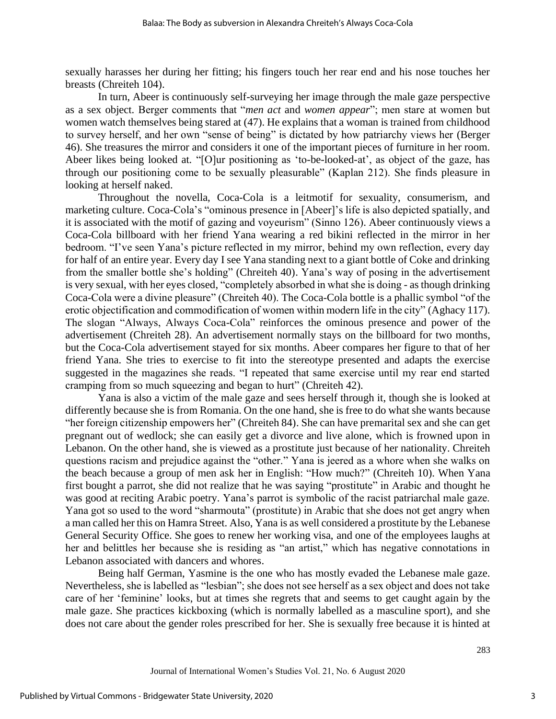sexually harasses her during her fitting; his fingers touch her rear end and his nose touches her breasts (Chreiteh 104).

In turn, Abeer is continuously self-surveying her image through the male gaze perspective as a sex object. Berger comments that "*men act* and *women appear*"; men stare at women but women watch themselves being stared at (47). He explains that a woman is trained from childhood to survey herself, and her own "sense of being" is dictated by how patriarchy views her (Berger 46). She treasures the mirror and considers it one of the important pieces of furniture in her room. Abeer likes being looked at. "[O]ur positioning as 'to-be-looked-at', as object of the gaze, has through our positioning come to be sexually pleasurable" (Kaplan 212). She finds pleasure in looking at herself naked.

Throughout the novella, Coca-Cola is a leitmotif for sexuality, consumerism, and marketing culture. Coca-Cola's "ominous presence in [Abeer]'s life is also depicted spatially, and it is associated with the motif of gazing and voyeurism" (Sinno 126). Abeer continuously views a Coca-Cola billboard with her friend Yana wearing a red bikini reflected in the mirror in her bedroom. "I've seen Yana's picture reflected in my mirror, behind my own reflection, every day for half of an entire year. Every day I see Yana standing next to a giant bottle of Coke and drinking from the smaller bottle she's holding" (Chreiteh 40). Yana's way of posing in the advertisement is very sexual, with her eyes closed, "completely absorbed in what she is doing - as though drinking Coca-Cola were a divine pleasure" (Chreiteh 40). The Coca-Cola bottle is a phallic symbol "of the erotic objectification and commodification of women within modern life in the city" (Aghacy 117). The slogan "Always, Always Coca-Cola" reinforces the ominous presence and power of the advertisement (Chreiteh 28). An advertisement normally stays on the billboard for two months, but the Coca-Cola advertisement stayed for six months. Abeer compares her figure to that of her friend Yana. She tries to exercise to fit into the stereotype presented and adapts the exercise suggested in the magazines she reads. "I repeated that same exercise until my rear end started cramping from so much squeezing and began to hurt" (Chreiteh 42).

Yana is also a victim of the male gaze and sees herself through it, though she is looked at differently because she is from Romania. On the one hand, she is free to do what she wants because "her foreign citizenship empowers her" (Chreiteh 84). She can have premarital sex and she can get pregnant out of wedlock; she can easily get a divorce and live alone, which is frowned upon in Lebanon. On the other hand, she is viewed as a prostitute just because of her nationality. Chreiteh questions racism and prejudice against the "other." Yana is jeered as a whore when she walks on the beach because a group of men ask her in English: "How much?" (Chreiteh 10). When Yana first bought a parrot, she did not realize that he was saying "prostitute" in Arabic and thought he was good at reciting Arabic poetry. Yana's parrot is symbolic of the racist patriarchal male gaze. Yana got so used to the word "sharmouta" (prostitute) in Arabic that she does not get angry when a man called her this on Hamra Street. Also, Yana is as well considered a prostitute by the Lebanese General Security Office. She goes to renew her working visa, and one of the employees laughs at her and belittles her because she is residing as "an artist," which has negative connotations in Lebanon associated with dancers and whores.

Being half German, Yasmine is the one who has mostly evaded the Lebanese male gaze. Nevertheless, she is labelled as "lesbian"; she does not see herself as a sex object and does not take care of her 'feminine' looks, but at times she regrets that and seems to get caught again by the male gaze. She practices kickboxing (which is normally labelled as a masculine sport), and she does not care about the gender roles prescribed for her. She is sexually free because it is hinted at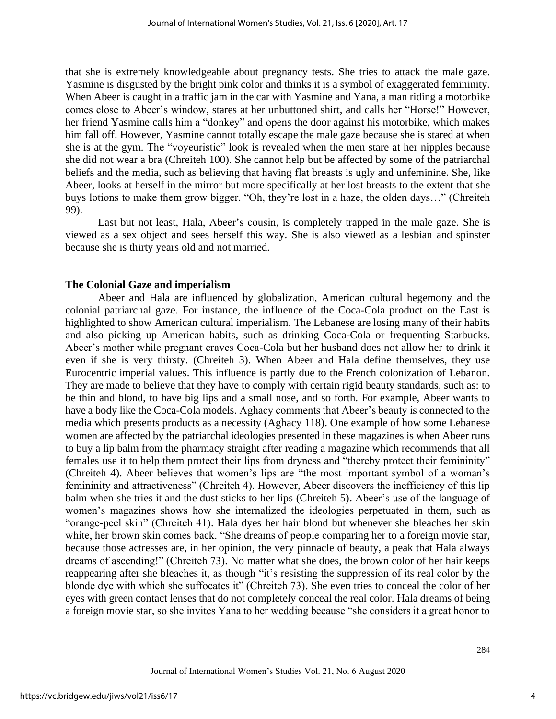that she is extremely knowledgeable about pregnancy tests. She tries to attack the male gaze. Yasmine is disgusted by the bright pink color and thinks it is a symbol of exaggerated femininity. When Abeer is caught in a traffic jam in the car with Yasmine and Yana, a man riding a motorbike comes close to Abeer's window, stares at her unbuttoned shirt, and calls her "Horse!" However, her friend Yasmine calls him a "donkey" and opens the door against his motorbike, which makes him fall off. However, Yasmine cannot totally escape the male gaze because she is stared at when she is at the gym. The "voyeuristic" look is revealed when the men stare at her nipples because she did not wear a bra (Chreiteh 100). She cannot help but be affected by some of the patriarchal beliefs and the media, such as believing that having flat breasts is ugly and unfeminine. She, like Abeer, looks at herself in the mirror but more specifically at her lost breasts to the extent that she buys lotions to make them grow bigger. "Oh, they're lost in a haze, the olden days…" (Chreiteh 99).

Last but not least, Hala, Abeer's cousin, is completely trapped in the male gaze. She is viewed as a sex object and sees herself this way. She is also viewed as a lesbian and spinster because she is thirty years old and not married.

#### **The Colonial Gaze and imperialism**

Abeer and Hala are influenced by globalization, American cultural hegemony and the colonial patriarchal gaze. For instance, the influence of the Coca-Cola product on the East is highlighted to show American cultural imperialism. The Lebanese are losing many of their habits and also picking up American habits, such as drinking Coca-Cola or frequenting Starbucks. Abeer's mother while pregnant craves Coca-Cola but her husband does not allow her to drink it even if she is very thirsty. (Chreiteh 3). When Abeer and Hala define themselves, they use Eurocentric imperial values. This influence is partly due to the French colonization of Lebanon. They are made to believe that they have to comply with certain rigid beauty standards, such as: to be thin and blond, to have big lips and a small nose, and so forth. For example, Abeer wants to have a body like the Coca-Cola models. Aghacy comments that Abeer's beauty is connected to the media which presents products as a necessity (Aghacy 118). One example of how some Lebanese women are affected by the patriarchal ideologies presented in these magazines is when Abeer runs to buy a lip balm from the pharmacy straight after reading a magazine which recommends that all females use it to help them protect their lips from dryness and "thereby protect their femininity" (Chreiteh 4). Abeer believes that women's lips are "the most important symbol of a woman's femininity and attractiveness" (Chreiteh 4). However, Abeer discovers the inefficiency of this lip balm when she tries it and the dust sticks to her lips (Chreiteh 5). Abeer's use of the language of women's magazines shows how she internalized the ideologies perpetuated in them, such as "orange-peel skin" (Chreiteh 41). Hala dyes her hair blond but whenever she bleaches her skin white, her brown skin comes back. "She dreams of people comparing her to a foreign movie star, because those actresses are, in her opinion, the very pinnacle of beauty, a peak that Hala always dreams of ascending!" (Chreiteh 73). No matter what she does, the brown color of her hair keeps reappearing after she bleaches it, as though "it's resisting the suppression of its real color by the blonde dye with which she suffocates it" (Chreiteh 73). She even tries to conceal the color of her eyes with green contact lenses that do not completely conceal the real color. Hala dreams of being a foreign movie star, so she invites Yana to her wedding because "she considers it a great honor to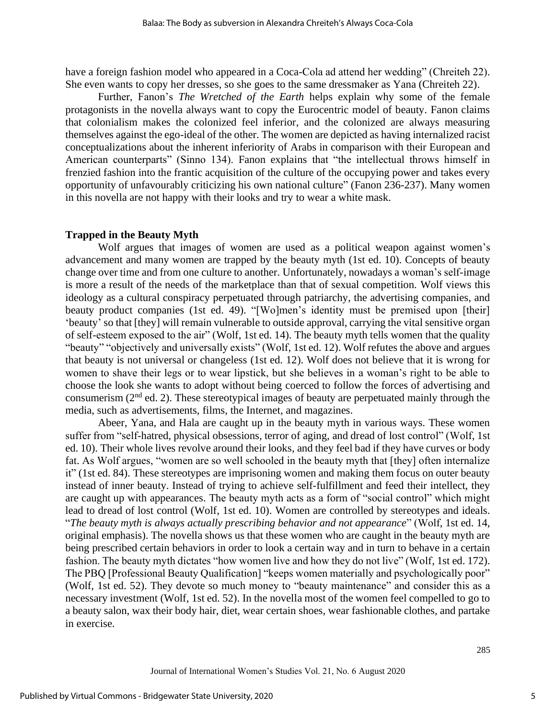have a foreign fashion model who appeared in a Coca-Cola ad attend her wedding" (Chreiteh 22). She even wants to copy her dresses, so she goes to the same dressmaker as Yana (Chreiteh 22).

Further, Fanon's *The Wretched of the Earth* helps explain why some of the female protagonists in the novella always want to copy the Eurocentric model of beauty. Fanon claims that colonialism makes the colonized feel inferior, and the colonized are always measuring themselves against the ego-ideal of the other. The women are depicted as having internalized racist conceptualizations about the inherent inferiority of Arabs in comparison with their European and American counterparts" (Sinno 134). Fanon explains that "the intellectual throws himself in frenzied fashion into the frantic acquisition of the culture of the occupying power and takes every opportunity of unfavourably criticizing his own national culture" (Fanon 236-237). Many women in this novella are not happy with their looks and try to wear a white mask.

## **Trapped in the Beauty Myth**

Wolf argues that images of women are used as a political weapon against women's advancement and many women are trapped by the beauty myth (1st ed. 10). Concepts of beauty change over time and from one culture to another. Unfortunately, nowadays a woman's self-image is more a result of the needs of the marketplace than that of sexual competition. Wolf views this ideology as a cultural conspiracy perpetuated through patriarchy, the advertising companies, and beauty product companies (1st ed. 49). "[Wo]men's identity must be premised upon [their] 'beauty' so that [they] will remain vulnerable to outside approval, carrying the vital sensitive organ of self-esteem exposed to the air" (Wolf, 1st ed. 14). The beauty myth tells women that the quality "beauty" "objectively and universally exists" (Wolf, 1st ed. 12). Wolf refutes the above and argues that beauty is not universal or changeless (1st ed. 12). Wolf does not believe that it is wrong for women to shave their legs or to wear lipstick, but she believes in a woman's right to be able to choose the look she wants to adopt without being coerced to follow the forces of advertising and consumerism  $(2<sup>nd</sup>$  ed. 2). These stereotypical images of beauty are perpetuated mainly through the media, such as advertisements, films, the Internet, and magazines.

Abeer, Yana, and Hala are caught up in the beauty myth in various ways. These women suffer from "self-hatred, physical obsessions, terror of aging, and dread of lost control" (Wolf, 1st ed. 10). Their whole lives revolve around their looks, and they feel bad if they have curves or body fat. As Wolf argues, "women are so well schooled in the beauty myth that [they] often internalize it" (1st ed. 84). These stereotypes are imprisoning women and making them focus on outer beauty instead of inner beauty. Instead of trying to achieve self-fulfillment and feed their intellect, they are caught up with appearances. The beauty myth acts as a form of "social control" which might lead to dread of lost control (Wolf, 1st ed. 10). Women are controlled by stereotypes and ideals. "*The beauty myth is always actually prescribing behavior and not appearance*" (Wolf, 1st ed. 14, original emphasis). The novella shows us that these women who are caught in the beauty myth are being prescribed certain behaviors in order to look a certain way and in turn to behave in a certain fashion. The beauty myth dictates "how women live and how they do not live" (Wolf, 1st ed. 172). The PBQ [Professional Beauty Qualification] "keeps women materially and psychologically poor" (Wolf, 1st ed. 52). They devote so much money to "beauty maintenance" and consider this as a necessary investment (Wolf, 1st ed. 52). In the novella most of the women feel compelled to go to a beauty salon, wax their body hair, diet, wear certain shoes, wear fashionable clothes, and partake in exercise.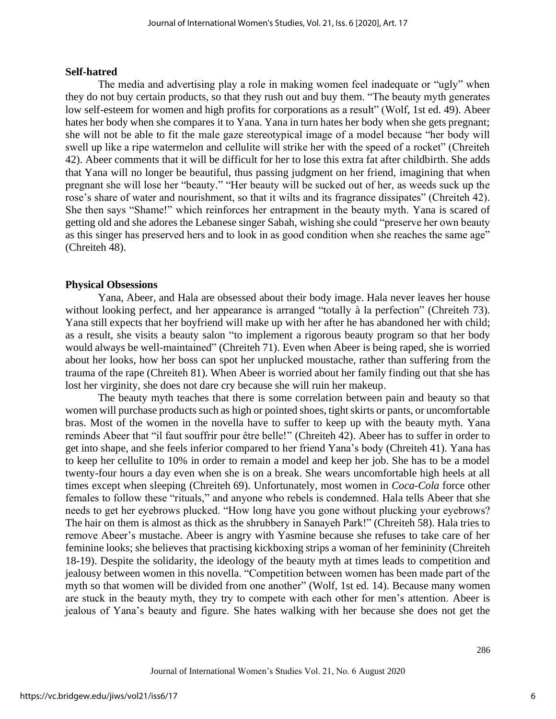#### **Self-hatred**

The media and advertising play a role in making women feel inadequate or "ugly" when they do not buy certain products, so that they rush out and buy them. "The beauty myth generates low self-esteem for women and high profits for corporations as a result" (Wolf, 1st ed. 49). Abeer hates her body when she compares it to Yana. Yana in turn hates her body when she gets pregnant; she will not be able to fit the male gaze stereotypical image of a model because "her body will swell up like a ripe watermelon and cellulite will strike her with the speed of a rocket" (Chreiteh 42). Abeer comments that it will be difficult for her to lose this extra fat after childbirth. She adds that Yana will no longer be beautiful, thus passing judgment on her friend, imagining that when pregnant she will lose her "beauty." "Her beauty will be sucked out of her, as weeds suck up the rose's share of water and nourishment, so that it wilts and its fragrance dissipates" (Chreiteh 42). She then says "Shame!" which reinforces her entrapment in the beauty myth. Yana is scared of getting old and she adores the Lebanese singer Sabah, wishing she could "preserve her own beauty as this singer has preserved hers and to look in as good condition when she reaches the same age" (Chreiteh 48).

#### **Physical Obsessions**

Yana, Abeer, and Hala are obsessed about their body image. Hala never leaves her house without looking perfect, and her appearance is arranged "totally [à](https://www.linguee.fr/francais-anglais/traduction/%C3%A0.html) la perfection" (Chreiteh 73). Yana still expects that her boyfriend will make up with her after he has abandoned her with child; as a result, she visits a beauty salon "to implement a rigorous beauty program so that her body would always be well-maintained" (Chreiteh 71). Even when Abeer is being raped, she is worried about her looks, how her boss can spot her unplucked moustache, rather than suffering from the trauma of the rape (Chreiteh 81). When Abeer is worried about her family finding out that she has lost her virginity, she does not dare cry because she will ruin her makeup.

The beauty myth teaches that there is some correlation between pain and beauty so that women will purchase products such as high or pointed shoes, tight skirts or pants, or uncomfortable bras. Most of the women in the novella have to suffer to keep up with the beauty myth. Yana reminds Abeer that "il faut souffrir pour être belle!" (Chreiteh 42). Abeer has to suffer in order to get into shape, and she feels inferior compared to her friend Yana's body (Chreiteh 41). Yana has to keep her cellulite to 10% in order to remain a model and keep her job. She has to be a model twenty-four hours a day even when she is on a break. She wears uncomfortable high heels at all times except when sleeping (Chreiteh 69). Unfortunately, most women in *Coca-Cola* force other females to follow these "rituals," and anyone who rebels is condemned. Hala tells Abeer that she needs to get her eyebrows plucked. "How long have you gone without plucking your eyebrows? The hair on them is almost as thick as the shrubbery in Sanayeh Park!" (Chreiteh 58). Hala tries to remove Abeer's mustache. Abeer is angry with Yasmine because she refuses to take care of her feminine looks; she believes that practising kickboxing strips a woman of her femininity (Chreiteh 18-19). Despite the solidarity, the ideology of the beauty myth at times leads to competition and jealousy between women in this novella. "Competition between women has been made part of the myth so that women will be divided from one another" (Wolf, 1st ed. 14). Because many women are stuck in the beauty myth, they try to compete with each other for men's attention. Abeer is jealous of Yana's beauty and figure. She hates walking with her because she does not get the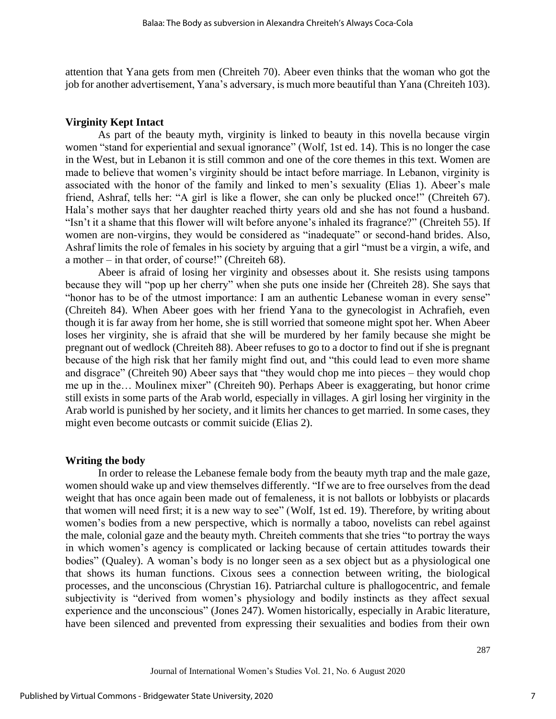attention that Yana gets from men (Chreiteh 70). Abeer even thinks that the woman who got the job for another advertisement, Yana's adversary, is much more beautiful than Yana (Chreiteh 103).

#### **Virginity Kept Intact**

As part of the beauty myth, virginity is linked to beauty in this novella because virgin women "stand for experiential and sexual ignorance" (Wolf, 1st ed. 14). This is no longer the case in the West, but in Lebanon it is still common and one of the core themes in this text. Women are made to believe that women's virginity should be intact before marriage. In Lebanon, virginity is associated with the honor of the family and linked to men's sexuality (Elias 1). Abeer's male friend, Ashraf, tells her: "A girl is like a flower, she can only be plucked once!" (Chreiteh 67). Hala's mother says that her daughter reached thirty years old and she has not found a husband. "Isn't it a shame that this flower will wilt before anyone's inhaled its fragrance?" (Chreiteh 55). If women are non-virgins, they would be considered as "inadequate" or second-hand brides. Also, Ashraf limits the role of females in his society by arguing that a girl "must be a virgin, a wife, and a mother – in that order, of course!" (Chreiteh 68).

Abeer is afraid of losing her virginity and obsesses about it. She resists using tampons because they will "pop up her cherry" when she puts one inside her (Chreiteh 28). She says that "honor has to be of the utmost importance: I am an authentic Lebanese woman in every sense" (Chreiteh 84). When Abeer goes with her friend Yana to the gynecologist in Achrafieh, even though it is far away from her home, she is still worried that someone might spot her. When Abeer loses her virginity, she is afraid that she will be murdered by her family because she might be pregnant out of wedlock (Chreiteh 88). Abeer refuses to go to a doctor to find out if she is pregnant because of the high risk that her family might find out, and "this could lead to even more shame and disgrace" (Chreiteh 90) Abeer says that "they would chop me into pieces – they would chop me up in the… Moulinex mixer" (Chreiteh 90). Perhaps Abeer is exaggerating, but honor crime still exists in some parts of the Arab world, especially in villages. A girl losing her virginity in the Arab world is punished by her society, and it limits her chances to get married. In some cases, they might even become outcasts or commit suicide (Elias 2).

#### **Writing the body**

In order to release the Lebanese female body from the beauty myth trap and the male gaze, women should wake up and view themselves differently. "If we are to free ourselves from the dead weight that has once again been made out of femaleness, it is not ballots or lobbyists or placards that women will need first; it is a new way to see" (Wolf, 1st ed. 19). Therefore, by writing about women's bodies from a new perspective, which is normally a taboo, novelists can rebel against the male, colonial gaze and the beauty myth. Chreiteh comments that she tries "to portray the ways in which women's agency is complicated or lacking because of certain attitudes towards their bodies" (Qualey). A woman's body is no longer seen as a sex object but as a physiological one that shows its human functions. Cixous sees a connection between writing, the biological processes, and the unconscious (Chrystian 16). Patriarchal culture is phallogocentric, and female subjectivity is "derived from women's physiology and bodily instincts as they affect sexual experience and the unconscious" (Jones 247). Women historically, especially in Arabic literature, have been silenced and prevented from expressing their sexualities and bodies from their own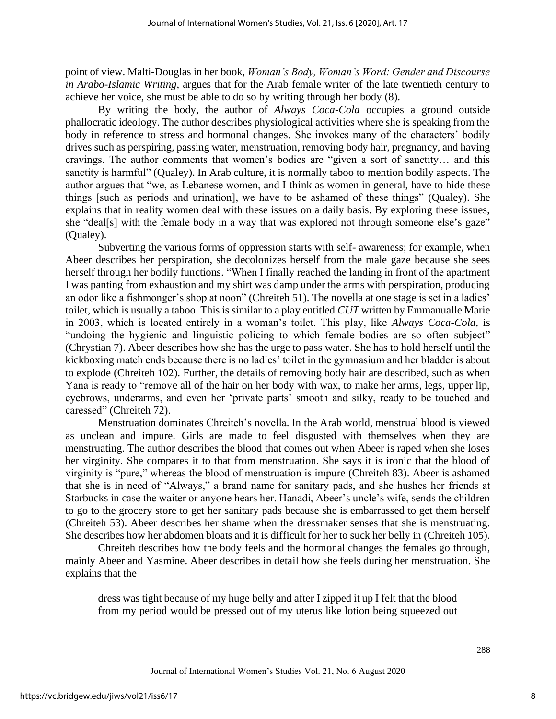point of view. Malti-Douglas in her book, *Woman's Body, Woman's Word: Gender and Discourse in Arabo-Islamic Writing*, argues that for the Arab female writer of the late twentieth century to achieve her voice, she must be able to do so by writing through her body (8).

By writing the body, the author of *Always Coca-Cola* occupies a ground outside phallocratic ideology. The author describes physiological activities where she is speaking from the body in reference to stress and hormonal changes. She invokes many of the characters' bodily drives such as perspiring, passing water, menstruation, removing body hair, pregnancy, and having cravings. The author comments that women's bodies are "given a sort of sanctity… and this sanctity is harmful" (Qualey). In Arab culture, it is normally taboo to mention bodily aspects. The author argues that "we, as Lebanese women, and I think as women in general, have to hide these things [such as periods and urination], we have to be ashamed of these things" (Qualey). She explains that in reality women deal with these issues on a daily basis. By exploring these issues, she "deal[s] with the female body in a way that was explored not through someone else's gaze" (Qualey).

Subverting the various forms of oppression starts with self- awareness; for example, when Abeer describes her perspiration, she decolonizes herself from the male gaze because she sees herself through her bodily functions. "When I finally reached the landing in front of the apartment I was panting from exhaustion and my shirt was damp under the arms with perspiration, producing an odor like a fishmonger's shop at noon" (Chreiteh 51). The novella at one stage is set in a ladies' toilet, which is usually a taboo. This is similar to a play entitled *CUT* written by Emmanualle Marie in 2003, which is located entirely in a woman's toilet. This play, like *Always Coca-Cola*, is "undoing the hygienic and linguistic policing to which female bodies are so often subject" (Chrystian 7). Abeer describes how she has the urge to pass water. She has to hold herself until the kickboxing match ends because there is no ladies' toilet in the gymnasium and her bladder is about to explode (Chreiteh 102). Further, the details of removing body hair are described, such as when Yana is ready to "remove all of the hair on her body with wax, to make her arms, legs, upper lip, eyebrows, underarms, and even her 'private parts' smooth and silky, ready to be touched and caressed" (Chreiteh 72).

Menstruation dominates Chreiteh's novella. In the Arab world, menstrual blood is viewed as unclean and impure. Girls are made to feel disgusted with themselves when they are menstruating. The author describes the blood that comes out when Abeer is raped when she loses her virginity. She compares it to that from menstruation. She says it is ironic that the blood of virginity is "pure," whereas the blood of menstruation is impure (Chreiteh 83). Abeer is ashamed that she is in need of "Always," a brand name for sanitary pads, and she hushes her friends at Starbucks in case the waiter or anyone hears her. Hanadi, Abeer's uncle's wife, sends the children to go to the grocery store to get her sanitary pads because she is embarrassed to get them herself (Chreiteh 53). Abeer describes her shame when the dressmaker senses that she is menstruating. She describes how her abdomen bloats and it is difficult for her to suck her belly in (Chreiteh 105).

Chreiteh describes how the body feels and the hormonal changes the females go through, mainly Abeer and Yasmine. Abeer describes in detail how she feels during her menstruation. She explains that the

dress was tight because of my huge belly and after I zipped it up I felt that the blood from my period would be pressed out of my uterus like lotion being squeezed out

288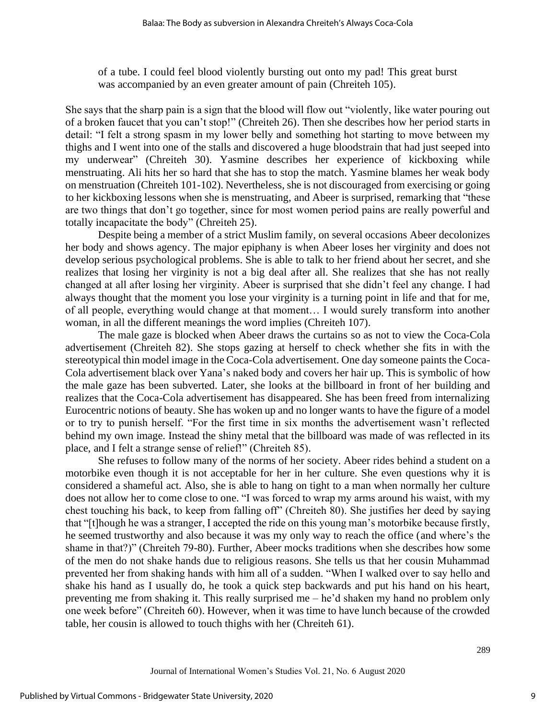of a tube. I could feel blood violently bursting out onto my pad! This great burst was accompanied by an even greater amount of pain (Chreiteh 105).

She says that the sharp pain is a sign that the blood will flow out "violently, like water pouring out of a broken faucet that you can't stop!" (Chreiteh 26). Then she describes how her period starts in detail: "I felt a strong spasm in my lower belly and something hot starting to move between my thighs and I went into one of the stalls and discovered a huge bloodstrain that had just seeped into my underwear" (Chreiteh 30). Yasmine describes her experience of kickboxing while menstruating. Ali hits her so hard that she has to stop the match. Yasmine blames her weak body on menstruation (Chreiteh 101-102). Nevertheless, she is not discouraged from exercising or going to her kickboxing lessons when she is menstruating, and Abeer is surprised, remarking that "these are two things that don't go together, since for most women period pains are really powerful and totally incapacitate the body" (Chreiteh 25).

Despite being a member of a strict Muslim family, on several occasions Abeer decolonizes her body and shows agency. The major epiphany is when Abeer loses her virginity and does not develop serious psychological problems. She is able to talk to her friend about her secret, and she realizes that losing her virginity is not a big deal after all. She realizes that she has not really changed at all after losing her virginity. Abeer is surprised that she didn't feel any change. I had always thought that the moment you lose your virginity is a turning point in life and that for me, of all people, everything would change at that moment… I would surely transform into another woman, in all the different meanings the word implies (Chreiteh 107).

The male gaze is blocked when Abeer draws the curtains so as not to view the Coca-Cola advertisement (Chreiteh 82). She stops gazing at herself to check whether she fits in with the stereotypical thin model image in the Coca-Cola advertisement. One day someone paints the Coca-Cola advertisement black over Yana's naked body and covers her hair up. This is symbolic of how the male gaze has been subverted. Later, she looks at the billboard in front of her building and realizes that the Coca-Cola advertisement has disappeared. She has been freed from internalizing Eurocentric notions of beauty. She has woken up and no longer wants to have the figure of a model or to try to punish herself. "For the first time in six months the advertisement wasn't reflected behind my own image. Instead the shiny metal that the billboard was made of was reflected in its place, and I felt a strange sense of relief!" (Chreiteh 85).

She refuses to follow many of the norms of her society. Abeer rides behind a student on a motorbike even though it is not acceptable for her in her culture. She even questions why it is considered a shameful act. Also, she is able to hang on tight to a man when normally her culture does not allow her to come close to one. "I was forced to wrap my arms around his waist, with my chest touching his back, to keep from falling off" (Chreiteh 80). She justifies her deed by saying that "[t]hough he was a stranger, I accepted the ride on this young man's motorbike because firstly, he seemed trustworthy and also because it was my only way to reach the office (and where's the shame in that?)" (Chreiteh 79-80). Further, Abeer mocks traditions when she describes how some of the men do not shake hands due to religious reasons. She tells us that her cousin Muhammad prevented her from shaking hands with him all of a sudden. "When I walked over to say hello and shake his hand as I usually do, he took a quick step backwards and put his hand on his heart, preventing me from shaking it. This really surprised me – he'd shaken my hand no problem only one week before" (Chreiteh 60). However, when it was time to have lunch because of the crowded table, her cousin is allowed to touch thighs with her (Chreiteh 61).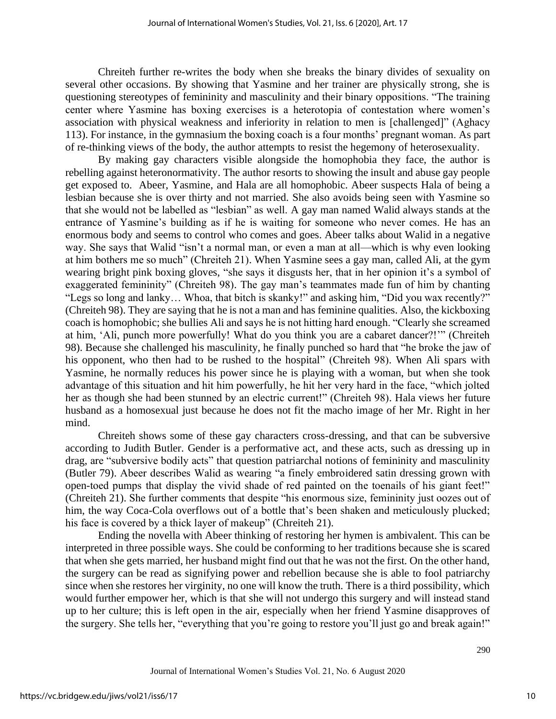Chreiteh further re-writes the body when she breaks the binary divides of sexuality on several other occasions. By showing that Yasmine and her trainer are physically strong, she is questioning stereotypes of femininity and masculinity and their binary oppositions. "The training center where Yasmine has boxing exercises is a heterotopia of contestation where women's association with physical weakness and inferiority in relation to men is [challenged]" (Aghacy 113). For instance, in the gymnasium the boxing coach is a four months' pregnant woman. As part of re-thinking views of the body, the author attempts to resist the hegemony of heterosexuality.

By making gay characters visible alongside the homophobia they face, the author is rebelling against heteronormativity. The author resorts to showing the insult and abuse gay people get exposed to. Abeer, Yasmine, and Hala are all homophobic. Abeer suspects Hala of being a lesbian because she is over thirty and not married. She also avoids being seen with Yasmine so that she would not be labelled as "lesbian" as well. A gay man named Walid always stands at the entrance of Yasmine's building as if he is waiting for someone who never comes. He has an enormous body and seems to control who comes and goes. Abeer talks about Walid in a negative way. She says that Walid "isn't a normal man, or even a man at all—which is why even looking at him bothers me so much" (Chreiteh 21). When Yasmine sees a gay man, called Ali, at the gym wearing bright pink boxing gloves, "she says it disgusts her, that in her opinion it's a symbol of exaggerated femininity" (Chreiteh 98). The gay man's teammates made fun of him by chanting "Legs so long and lanky… Whoa, that bitch is skanky!" and asking him, "Did you wax recently?" (Chreiteh 98). They are saying that he is not a man and has feminine qualities. Also, the kickboxing coach is homophobic; she bullies Ali and says he is not hitting hard enough. "Clearly she screamed at him, 'Ali, punch more powerfully! What do you think you are a cabaret dancer?!'" (Chreiteh 98). Because she challenged his masculinity, he finally punched so hard that "he broke the jaw of his opponent, who then had to be rushed to the hospital" (Chreiteh 98). When Ali spars with Yasmine, he normally reduces his power since he is playing with a woman, but when she took advantage of this situation and hit him powerfully, he hit her very hard in the face, "which jolted her as though she had been stunned by an electric current!" (Chreiteh 98). Hala views her future husband as a homosexual just because he does not fit the macho image of her Mr. Right in her mind.

Chreiteh shows some of these gay characters cross-dressing, and that can be subversive according to Judith Butler. Gender is a performative act, and these acts, such as dressing up in drag, are "subversive bodily acts" that question patriarchal notions of femininity and masculinity (Butler 79). Abeer describes Walid as wearing "a finely embroidered satin dressing grown with open-toed pumps that display the vivid shade of red painted on the toenails of his giant feet!" (Chreiteh 21). She further comments that despite "his enormous size, femininity just oozes out of him, the way Coca-Cola overflows out of a bottle that's been shaken and meticulously plucked; his face is covered by a thick layer of makeup" (Chreiteh 21).

Ending the novella with Abeer thinking of restoring her hymen is ambivalent. This can be interpreted in three possible ways. She could be conforming to her traditions because she is scared that when she gets married, her husband might find out that he was not the first. On the other hand, the surgery can be read as signifying power and rebellion because she is able to fool patriarchy since when she restores her virginity, no one will know the truth. There is a third possibility, which would further empower her, which is that she will not undergo this surgery and will instead stand up to her culture; this is left open in the air, especially when her friend Yasmine disapproves of the surgery. She tells her, "everything that you're going to restore you'll just go and break again!"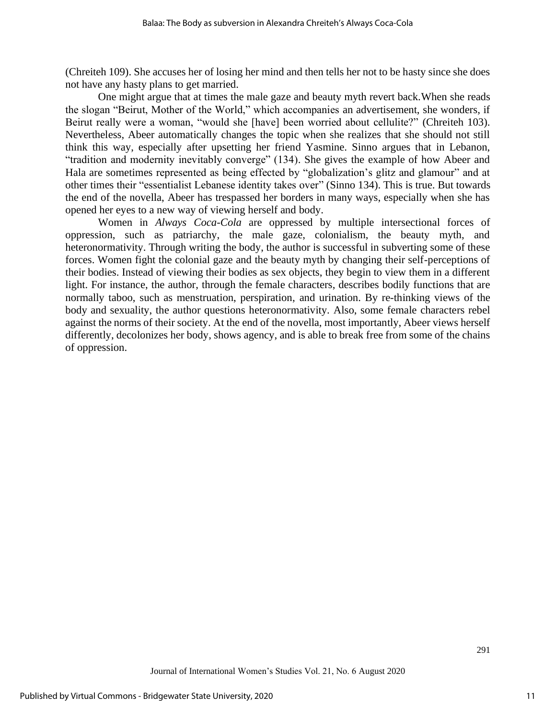(Chreiteh 109). She accuses her of losing her mind and then tells her not to be hasty since she does not have any hasty plans to get married.

One might argue that at times the male gaze and beauty myth revert back.When she reads the slogan "Beirut, Mother of the World," which accompanies an advertisement, she wonders, if Beirut really were a woman, "would she [have] been worried about cellulite?" (Chreiteh 103). Nevertheless, Abeer automatically changes the topic when she realizes that she should not still think this way, especially after upsetting her friend Yasmine. Sinno argues that in Lebanon, "tradition and modernity inevitably converge" (134). She gives the example of how Abeer and Hala are sometimes represented as being effected by "globalization's glitz and glamour" and at other times their "essentialist Lebanese identity takes over" (Sinno 134). This is true. But towards the end of the novella, Abeer has trespassed her borders in many ways, especially when she has opened her eyes to a new way of viewing herself and body.

Women in *Always Coca-Cola* are oppressed by multiple intersectional forces of oppression, such as patriarchy, the male gaze, colonialism, the beauty myth, and heteronormativity. Through writing the body, the author is successful in subverting some of these forces. Women fight the colonial gaze and the beauty myth by changing their self-perceptions of their bodies. Instead of viewing their bodies as sex objects, they begin to view them in a different light. For instance, the author, through the female characters, describes bodily functions that are normally taboo, such as menstruation, perspiration, and urination. By re-thinking views of the body and sexuality, the author questions heteronormativity. Also, some female characters rebel against the norms of their society. At the end of the novella, most importantly, Abeer views herself differently, decolonizes her body, shows agency, and is able to break free from some of the chains of oppression.

291